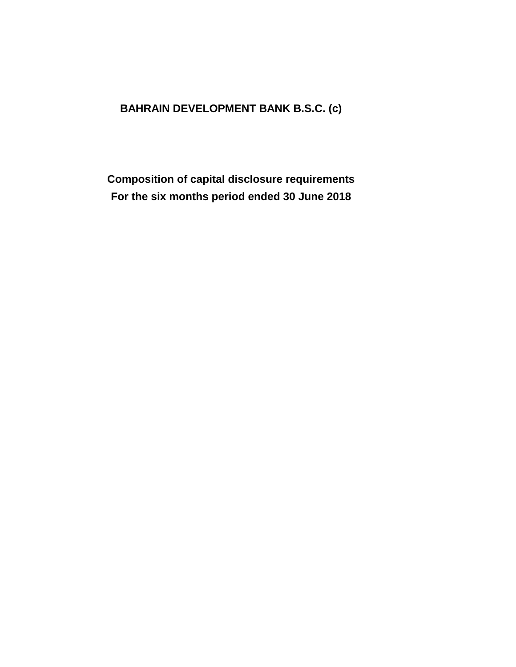# **BAHRAIN DEVELOPMENT BANK B.S.C. (c)**

**Composition of capital disclosure requirements For the six months period ended 30 June 2018**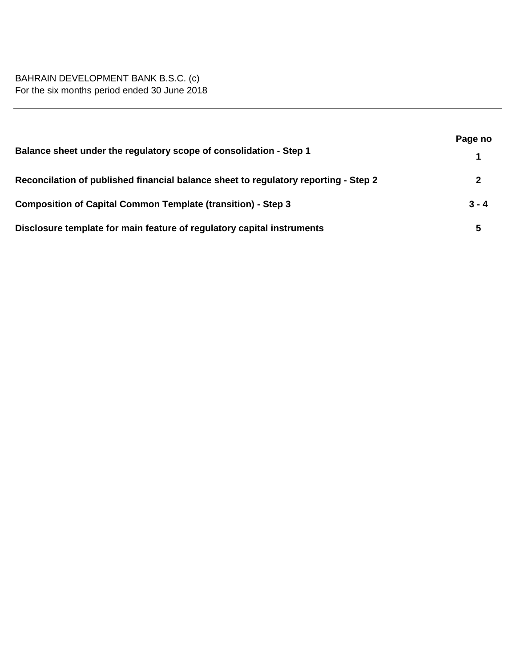|                                                                                     | Page no |  |
|-------------------------------------------------------------------------------------|---------|--|
| Balance sheet under the regulatory scope of consolidation - Step 1                  |         |  |
| Reconcilation of published financial balance sheet to regulatory reporting - Step 2 | 2       |  |
| <b>Composition of Capital Common Template (transition) - Step 3</b>                 | $3 - 4$ |  |
| Disclosure template for main feature of regulatory capital instruments              | 5       |  |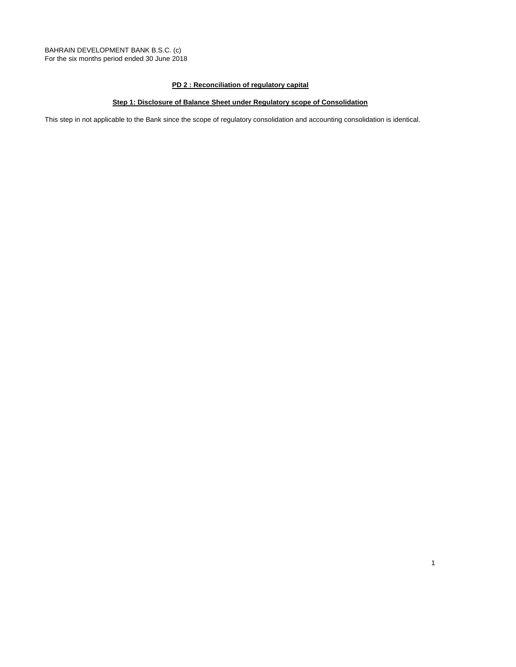### **PD 2 : Reconciliation of regulatory capital**

### **Step 1: Disclosure of Balance Sheet under Regulatory scope of Consolidation**

This step in not applicable to the Bank since the scope of regulatory consolidation and accounting consolidation is identical.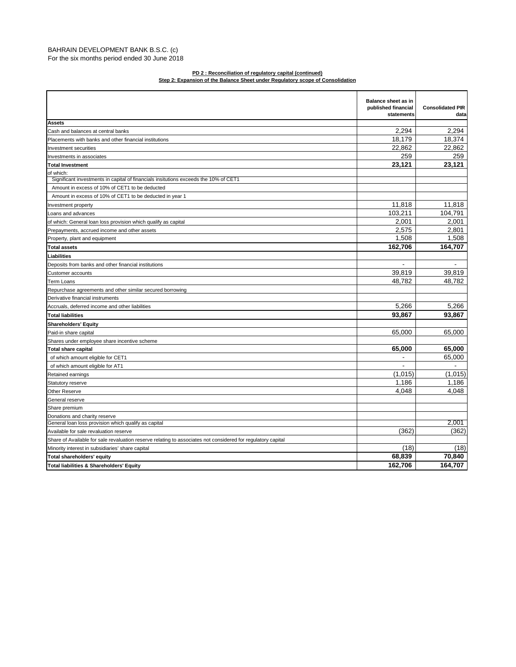#### BAHRAIN DEVELOPMENT BANK B.S.C. (c) For the six months period ended 30 June 2018

#### **Step 2: Expansion of the Balance Sheet under Regulatory scope of Consolidation PD 2 : Reconciliation of regulatory capital (continued)**

|                                                                                                              | Balance sheet as in<br>published financial<br>statements | <b>Consolidated PIR</b><br>data |
|--------------------------------------------------------------------------------------------------------------|----------------------------------------------------------|---------------------------------|
| <b>Assets</b>                                                                                                |                                                          |                                 |
| Cash and balances at central banks                                                                           | 2.294                                                    | 2.294                           |
| Placements with banks and other financial institutions                                                       | 18,179                                                   | 18,374                          |
| Investment securities                                                                                        | 22.862                                                   | 22.862                          |
| Investments in associates                                                                                    | 259                                                      | 259                             |
| <b>Total Investment</b>                                                                                      | 23,121                                                   | 23,121                          |
| of which:                                                                                                    |                                                          |                                 |
| Significant investments in capital of financials insitutions exceeds the 10% of CET1                         |                                                          |                                 |
| Amount in excess of 10% of CET1 to be deducted                                                               |                                                          |                                 |
| Amount in excess of 10% of CET1 to be deducted in year 1                                                     |                                                          |                                 |
| Investment property                                                                                          | 11,818                                                   | 11,818                          |
| Loans and advances                                                                                           | 103,211                                                  | 104,791                         |
| of which: General loan loss provision which qualify as capital                                               | 2,001                                                    | 2,001                           |
| Prepayments, accrued income and other assets                                                                 | 2,575                                                    | 2.801                           |
| Property, plant and equipment                                                                                | 1,508                                                    | 1,508                           |
| <b>Total assets</b>                                                                                          | 162,706                                                  | 164,707                         |
| Liabilities                                                                                                  |                                                          |                                 |
| Deposits from banks and other financial institutions                                                         | $\blacksquare$                                           | $\blacksquare$                  |
| Customer accounts                                                                                            | 39,819                                                   | 39,819                          |
| <b>Term Loans</b>                                                                                            | 48,782                                                   | 48.782                          |
| Repurchase agreements and other similar secured borrowing                                                    |                                                          |                                 |
| Derivative financial instruments                                                                             |                                                          |                                 |
| Accruals, deferred income and other liabilities                                                              | 5.266                                                    | 5.266                           |
| <b>Total liabilities</b>                                                                                     | 93,867                                                   | 93,867                          |
| <b>Shareholders' Equity</b>                                                                                  |                                                          |                                 |
| Paid-in share capital                                                                                        | 65,000                                                   | 65,000                          |
| Shares under employee share incentive scheme                                                                 |                                                          |                                 |
| <b>Total share capital</b>                                                                                   | 65,000                                                   | 65,000                          |
| of which amount eligible for CET1                                                                            |                                                          | 65,000                          |
| of which amount eligible for AT1                                                                             | $\overline{\phantom{a}}$                                 |                                 |
| Retained earnings                                                                                            | (1,015)                                                  | (1,015)                         |
| Statutory reserve                                                                                            | 1.186                                                    | 1.186                           |
| <b>Other Reserve</b>                                                                                         | 4,048                                                    | 4,048                           |
| General reserve                                                                                              |                                                          |                                 |
| Share premium                                                                                                |                                                          |                                 |
| Donations and charity reserve                                                                                |                                                          |                                 |
| General loan loss provision which qualify as capital                                                         |                                                          | 2,001                           |
| Available for sale revaluation reserve                                                                       | (362)                                                    | (362)                           |
| Share of Available for sale revaluation reserve relating to associates not considered for regulatory capital |                                                          |                                 |
| Minority interest in subsidiaries' share capital                                                             | (18)                                                     | (18)                            |
| Total shareholders' equity                                                                                   | 68.839                                                   | 70.840                          |
| Total liabilities & Shareholders' Equity                                                                     | 162.706                                                  | 164.707                         |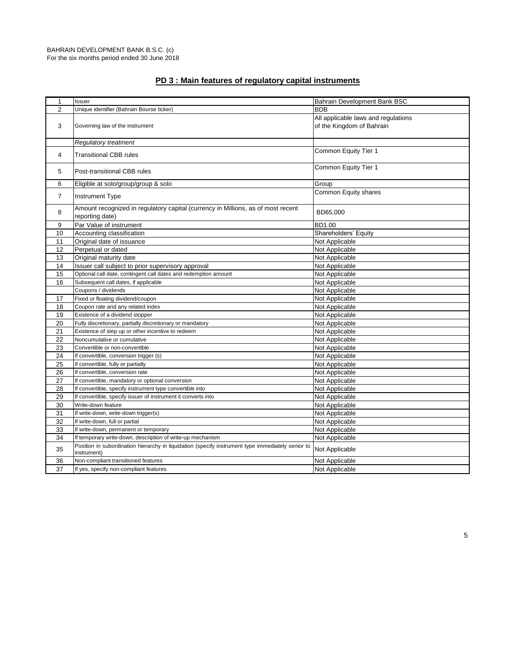| $\mathbf{1}$   | Issuer                                                                                                           | Bahrain Development Bank BSC        |
|----------------|------------------------------------------------------------------------------------------------------------------|-------------------------------------|
| $\overline{2}$ | Unique identifier (Bahrain Bourse ticker)                                                                        | <b>BDB</b>                          |
|                |                                                                                                                  | All applicable laws and regulations |
| 3              | Governing law of the instrument                                                                                  | of the Kingdom of Bahrain           |
|                |                                                                                                                  |                                     |
|                | <b>Regulatory treatment</b>                                                                                      |                                     |
| 4              | <b>Transitional CBB rules</b>                                                                                    | Common Equity Tier 1                |
|                |                                                                                                                  |                                     |
| 5              | Post-transitional CBB rules                                                                                      | Common Equity Tier 1                |
| 6              | Eligible at solo/group/group & solo                                                                              |                                     |
|                |                                                                                                                  | Group                               |
| $\overline{7}$ | <b>Instrument Type</b>                                                                                           | Common Equity shares                |
|                | Amount recognized in regulatory capital (currency in Millions, as of most recent                                 |                                     |
| 8              | reporting date)                                                                                                  | BD65,000                            |
| 9              | Par Value of instrument                                                                                          | BD1.00                              |
| 10             | Accounting classification                                                                                        | Shareholders' Equity                |
| 11             | Original date of issuance                                                                                        | Not Applicable                      |
| 12             | Perpetual or dated                                                                                               | Not Applicable                      |
| 13             | Original maturity date                                                                                           | Not Applicable                      |
| 14             | Issuer call subject to prior supervisory approval                                                                | Not Applicable                      |
| 15             | Optional call date, contingent call dates and redemption amount                                                  | Not Applicable                      |
| 16             | Subsequent call dates, if applicable                                                                             | Not Applicable                      |
|                | Coupons / dividends                                                                                              | Not Applicable                      |
| 17             | Fixed or floating dividend/coupon                                                                                | Not Applicable                      |
| 18             | Coupon rate and any related index                                                                                | Not Applicable                      |
| 19             | Existence of a dividend stopper                                                                                  | Not Applicable                      |
| 20             | Fully discretionary, partially discretionary or mandatory                                                        | Not Applicable                      |
| 21             | Existence of step up or other incentive to redeem                                                                | Not Applicable                      |
| 22             | Noncumulative or cumulative                                                                                      | Not Applicable                      |
| 23             | Convertible or non-convertible                                                                                   | Not Applicable                      |
| 24             | If convertible, conversion trigger (s)                                                                           | Not Applicable                      |
| 25             | If convertible, fully or partially                                                                               | Not Applicable                      |
| 26             | If convertible, conversion rate                                                                                  | Not Applicable                      |
| 27             | If convertible, mandatory or optional conversion                                                                 | Not Applicable                      |
| 28             | If convertible, specify instrument type convertible into                                                         | Not Applicable                      |
| 29             | If convertible, specify issuer of instrument it converts into                                                    | Not Applicable                      |
| 30             | Write-down feature                                                                                               | Not Applicable                      |
| 31             | If write-down, write-down trigger(s)                                                                             | Not Applicable                      |
| 32             | If write-down, full or partial                                                                                   | Not Applicable                      |
| 33             | If write-down, permanent or temporary                                                                            | Not Applicable                      |
| 34             | If temporary write-down, description of write-up mechanism                                                       | Not Applicable                      |
| 35             | Position in subordination hierarchy in liquidation (specify instrument type immediately senior to<br>instrument) | Not Applicable                      |
| 36             | Non-compliant transitioned features                                                                              | Not Applicable                      |
| 37             | If yes, specify non-compliant features                                                                           | Not Applicable                      |

## **PD 3 : Main features of regulatory capital instruments**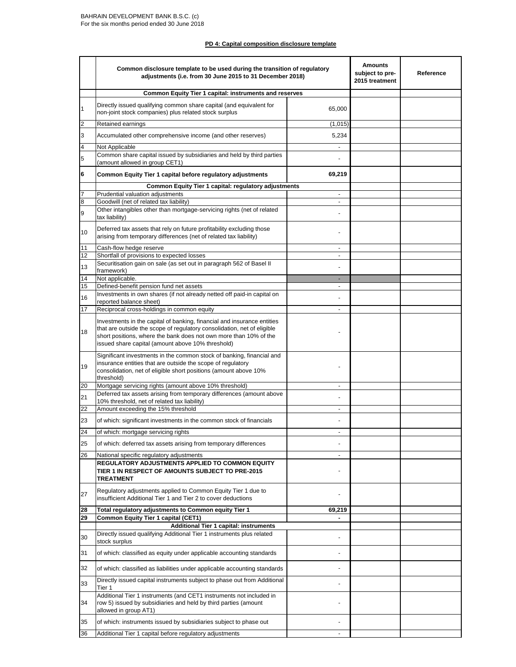#### **PD 4: Capital composition disclosure template**

|                | Common disclosure template to be used during the transition of regulatory<br>adjustments (i.e. from 30 June 2015 to 31 December 2018)                                                                                                                                        |                          | <b>Amounts</b><br>subject to pre-<br>2015 treatment | Reference |
|----------------|------------------------------------------------------------------------------------------------------------------------------------------------------------------------------------------------------------------------------------------------------------------------------|--------------------------|-----------------------------------------------------|-----------|
|                | <b>Common Equity Tier 1 capital: instruments and reserves</b>                                                                                                                                                                                                                |                          |                                                     |           |
| 1              | Directly issued qualifying common share capital (and equivalent for<br>non-joint stock companies) plus related stock surplus                                                                                                                                                 | 65,000                   |                                                     |           |
| $\overline{2}$ | Retained earnings                                                                                                                                                                                                                                                            | (1,015)                  |                                                     |           |
| 3              | Accumulated other comprehensive income (and other reserves)                                                                                                                                                                                                                  | 5,234                    |                                                     |           |
| 4              | Not Applicable                                                                                                                                                                                                                                                               | $\blacksquare$           |                                                     |           |
| 5              | Common share capital issued by subsidiaries and held by third parties<br>(amount allowed in group CET1)                                                                                                                                                                      |                          |                                                     |           |
| 6              | Common Equity Tier 1 capital before regulatory adjustments                                                                                                                                                                                                                   | 69,219                   |                                                     |           |
| 7              | Common Equity Tier 1 capital: regulatory adjustments                                                                                                                                                                                                                         |                          |                                                     |           |
| 8              | Prudential valuation adjustments<br>Goodwill (net of related tax liability)                                                                                                                                                                                                  | -                        |                                                     |           |
| 9              | Other intangibles other than mortgage-servicing rights (net of related<br>tax liability)                                                                                                                                                                                     |                          |                                                     |           |
| 10             | Deferred tax assets that rely on future profitability excluding those<br>arising from temporary differences (net of related tax liability)                                                                                                                                   |                          |                                                     |           |
| 11             | Cash-flow hedge reserve                                                                                                                                                                                                                                                      | $\blacksquare$           |                                                     |           |
| 12             | Shortfall of provisions to expected losses                                                                                                                                                                                                                                   | $\blacksquare$           |                                                     |           |
| 13             | Securitisation gain on sale (as set out in paragraph 562 of Basel II<br>framework)                                                                                                                                                                                           | ٠                        |                                                     |           |
| 14<br>15       | Not applicable.<br>Defined-benefit pension fund net assets                                                                                                                                                                                                                   | $\overline{\phantom{a}}$ |                                                     |           |
|                | Investments in own shares (if not already netted off paid-in capital on                                                                                                                                                                                                      |                          |                                                     |           |
| 16             | reported balance sheet)                                                                                                                                                                                                                                                      |                          |                                                     |           |
| 17             | Reciprocal cross-holdings in common equity                                                                                                                                                                                                                                   |                          |                                                     |           |
| 18             | Investments in the capital of banking, financial and insurance entities<br>that are outside the scope of regulatory consolidation, net of eligible<br>short positions, where the bank does not own more than 10% of the<br>issued share capital (amount above 10% threshold) |                          |                                                     |           |
| 19             | Significant investments in the common stock of banking, financial and<br>insurance entities that are outside the scope of regulatory<br>consolidation, net of eligible short positions (amount above 10%<br>threshold)                                                       |                          |                                                     |           |
| 20             | Mortgage servicing rights (amount above 10% threshold)                                                                                                                                                                                                                       |                          |                                                     |           |
| 21             | Deferred tax assets arising from temporary differences (amount above<br>10% threshold, net of related tax liability)                                                                                                                                                         |                          |                                                     |           |
| 22             | Amount exceeding the 15% threshold                                                                                                                                                                                                                                           | $\blacksquare$           |                                                     |           |
| 23<br>24       | of which: significant investments in the common stock of financials<br>of which: mortgage servicing rights                                                                                                                                                                   |                          |                                                     |           |
| 25             |                                                                                                                                                                                                                                                                              |                          |                                                     |           |
|                | of which: deferred tax assets arising from temporary differences                                                                                                                                                                                                             |                          |                                                     |           |
| 26             | National specific regulatory adjustments<br>REGULATORY ADJUSTMENTS APPLIED TO COMMON EQUITY<br>TIER 1 IN RESPECT OF AMOUNTS SUBJECT TO PRE-2015<br>TREATMENT                                                                                                                 | $\sim$                   |                                                     |           |
| 27             | Regulatory adjustments applied to Common Equity Tier 1 due to<br>insufficient Additional Tier 1 and Tier 2 to cover deductions                                                                                                                                               |                          |                                                     |           |
| 28             | Total regulatory adjustments to Common equity Tier 1                                                                                                                                                                                                                         | 69,219                   |                                                     |           |
| 29             | <b>Common Equity Tier 1 capital (CET1)</b><br><b>Additional Tier 1 capital: instruments</b>                                                                                                                                                                                  |                          |                                                     |           |
|                | Directly issued qualifying Additional Tier 1 instruments plus related                                                                                                                                                                                                        |                          |                                                     |           |
| 30             | stock surplus                                                                                                                                                                                                                                                                |                          |                                                     |           |
| 31             | of which: classified as equity under applicable accounting standards                                                                                                                                                                                                         |                          |                                                     |           |
| 32             | of which: classified as liabilities under applicable accounting standards<br>Directly issued capital instruments subject to phase out from Additional                                                                                                                        |                          |                                                     |           |
| 33             | Tier 1                                                                                                                                                                                                                                                                       |                          |                                                     |           |
| 34             | Additional Tier 1 instruments (and CET1 instruments not included in<br>row 5) issued by subsidiaries and held by third parties (amount<br>allowed in group AT1)                                                                                                              |                          |                                                     |           |
| 35             | of which: instruments issued by subsidiaries subject to phase out                                                                                                                                                                                                            |                          |                                                     |           |
| 36             | Additional Tier 1 capital before regulatory adjustments                                                                                                                                                                                                                      |                          |                                                     |           |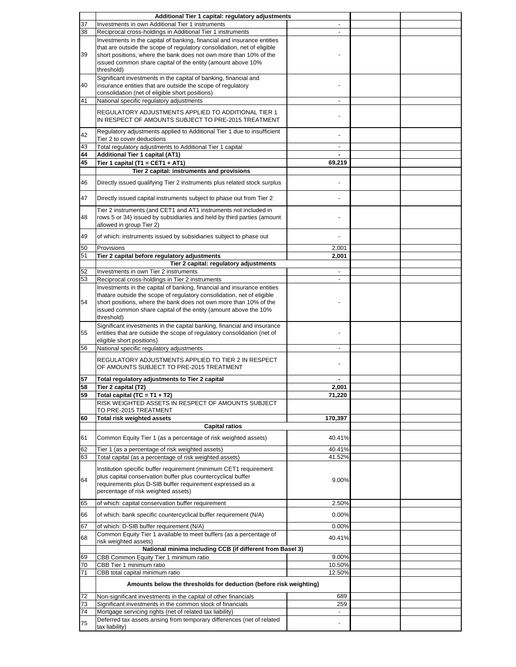|    | Additional Tier 1 capital: regulatory adjustments                                                    |                          |  |
|----|------------------------------------------------------------------------------------------------------|--------------------------|--|
| 37 | Investments in own Additional Tier 1 instruments                                                     |                          |  |
| 38 | Reciprocal cross-holdings in Additional Tier 1 instruments                                           |                          |  |
|    | Investments in the capital of banking, financial and insurance entities                              |                          |  |
|    | that are outside the scope of regulatory consolidation, net of eligible                              |                          |  |
| 39 | short positions, where the bank does not own more than 10% of the                                    |                          |  |
|    | issued common share capital of the entity (amount above 10%                                          |                          |  |
|    | threshold)                                                                                           |                          |  |
|    | Significant investments in the capital of banking, financial and                                     |                          |  |
| 40 | insurance entities that are outside the scope of regulatory                                          |                          |  |
|    | consolidation (net of eligible short positions)<br>National specific regulatory adjustments          |                          |  |
| 41 |                                                                                                      |                          |  |
|    | REGULATORY ADJUSTMENTS APPLIED TO ADDITIONAL TIER 1                                                  |                          |  |
|    | IN RESPECT OF AMOUNTS SUBJECT TO PRE-2015 TREATMENT                                                  |                          |  |
|    | Regulatory adjustments applied to Additional Tier 1 due to insufficient                              |                          |  |
| 42 | Tier 2 to cover deductions                                                                           |                          |  |
| 43 | Total regulatory adjustments to Additional Tier 1 capital                                            | $\overline{\phantom{m}}$ |  |
| 44 | <b>Additional Tier 1 capital (AT1)</b>                                                               |                          |  |
| 45 | Tier 1 capital (T1 = CET1 + AT1)                                                                     | 69,219                   |  |
|    | Tier 2 capital: instruments and provisions                                                           |                          |  |
|    |                                                                                                      |                          |  |
| 46 | Directly issued qualifying Tier 2 instruments plus related stock surplus                             |                          |  |
|    |                                                                                                      |                          |  |
| 47 | Directly issued capital instruments subject to phase out from Tier 2                                 |                          |  |
|    | Tier 2 instruments (and CET1 and AT1 instruments not included in                                     |                          |  |
| 48 | rows 5 or 34) issued by subsidiaries and held by third parties (amount                               |                          |  |
|    | allowed in group Tier 2)                                                                             |                          |  |
| 49 | of which: instruments issued by subsidiaries subject to phase out                                    |                          |  |
|    |                                                                                                      |                          |  |
| 50 | Provisions                                                                                           | 2,001                    |  |
| 51 | Tier 2 capital before regulatory adjustments                                                         | 2,001                    |  |
|    | Tier 2 capital: regulatory adjustments                                                               |                          |  |
| 52 | Investments in own Tier 2 instruments                                                                | $\overline{\phantom{a}}$ |  |
| 53 | Reciprocal cross-holdings in Tier 2 instruments                                                      | $\blacksquare$           |  |
|    | Investments in the capital of banking, financial and insurance entities                              |                          |  |
|    | thatare outside the scope of regulatory consolidation, net of eligible                               |                          |  |
| 54 | short positions, where the bank does not own more than 10% of the                                    |                          |  |
|    | issued common share capital of the entity (amount above the 10%                                      |                          |  |
|    | threshold)                                                                                           |                          |  |
|    | Significant investments in the capital banking, financial and insurance                              |                          |  |
| 55 | entities that are outside the scope of regulatory consolidation (net of<br>eligible short positions) |                          |  |
| 56 | National specific regulatory adjustments                                                             |                          |  |
|    |                                                                                                      |                          |  |
|    | REGULATORY ADJUSTMENTS APPLIED TO TIER 2 IN RESPECT                                                  |                          |  |
|    | OF AMOUNTS SUBJECT TO PRE-2015 TREATMENT                                                             |                          |  |
| 57 | Total regulatory adjustments to Tier 2 capital                                                       |                          |  |
| 58 | Tier 2 capital (T2)                                                                                  | 2,001                    |  |
| 59 | Total capital (TC = $T1 + T2$ )                                                                      | 71,220                   |  |
|    | RISK WEIGHTED ASSETS IN RESPECT OF AMOUNTS SUBJECT                                                   |                          |  |
|    | TO PRE-2015 TREATMENT                                                                                |                          |  |
| 60 | <b>Total risk weighted assets</b>                                                                    | 170,397                  |  |
|    | <b>Capital ratios</b>                                                                                |                          |  |
|    |                                                                                                      |                          |  |
| 61 | Common Equity Tier 1 (as a percentage of risk weighted assets)                                       | 40.41%                   |  |
| 62 | Tier 1 (as a percentage of risk weighted assets)                                                     | 40.41%                   |  |
| 63 | Total capital (as a percentage of risk weighted assets)                                              | 41.52%                   |  |
|    | Institution specific buffer requirement (minimum CET1 requirement                                    |                          |  |
|    | plus capital conservation buffer plus countercyclical buffer                                         |                          |  |
| 64 | requirements plus D-SIB buffer requirement expressed as a                                            | 9.00%                    |  |
|    | percentage of risk weighted assets)                                                                  |                          |  |
|    |                                                                                                      |                          |  |
| 65 |                                                                                                      |                          |  |
|    | of which: capital conservation buffer requirement                                                    | 2.50%                    |  |
| 66 | of which: bank specific countercyclical buffer requirement (N/A)                                     | 0.00%                    |  |
|    |                                                                                                      |                          |  |
| 67 | of which: D-SIB buffer requirement (N/A)                                                             | 0.00%                    |  |
| 68 | Common Equity Tier 1 available to meet buffers (as a percentage of                                   | 40.41%                   |  |
|    | risk weighted assets)                                                                                |                          |  |
|    | National minima including CCB (if different from Basel 3)                                            |                          |  |
| 69 | CBB Common Equity Tier 1 minimum ratio                                                               | 9.00%                    |  |
| 70 | CBB Tier 1 minimum ratio                                                                             | 10.50%                   |  |
| 71 | CBB total capital minimum ratio                                                                      | 12.50%                   |  |
|    | Amounts below the thresholds for deduction (before risk weighting)                                   |                          |  |
|    |                                                                                                      |                          |  |
| 72 | Non-significant investments in the capital of other financials                                       | 689                      |  |
| 73 | Significant investments in the common stock of financials                                            | 259<br>$\blacksquare$    |  |
| 74 | Mortgage servicing rights (net of related tax liability)                                             |                          |  |
| 75 | Deferred tax assets arising from temporary differences (net of related<br>tax liability)             |                          |  |